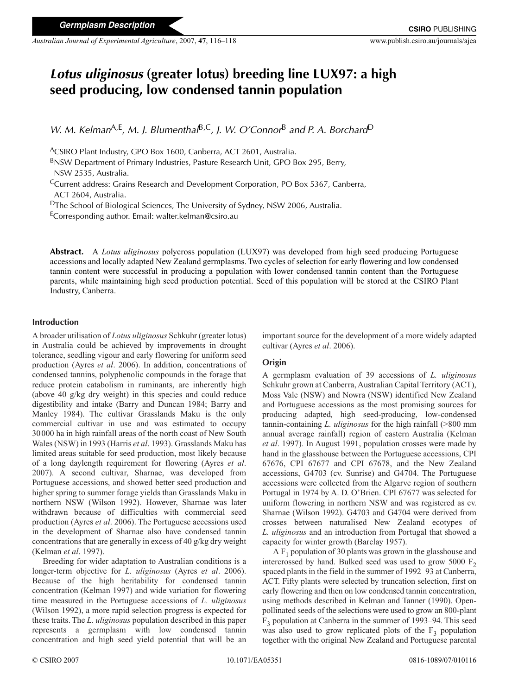*Australian Journal of Experimental Agriculture*, 2007, **47**, 116–118 www.publish.csiro.au/journals/ajea

# *Lotus uliginosus* **(greater lotus) breeding line LUX97: a high seed producing, low condensed tannin population**

*W. M. Kelman*A,E*, M. J. Blumenthal*B,C*, J. W. O'Connor*<sup>B</sup> *and P. A. Borchard*<sup>D</sup>

ACSIRO Plant Industry, GPO Box 1600, Canberra, ACT 2601, Australia.

BNSW Department of Primary Industries, Pasture Research Unit, GPO Box 295, Berry, NSW 2535, Australia.

CCurrent address: Grains Research and Development Corporation, PO Box 5367, Canberra, ACT 2604, Australia.

DThe School of Biological Sciences, The University of Sydney, NSW 2006, Australia.

ECorresponding author. Email: walter.kelman@csiro.au

**Abstract.** A *Lotus uliginosus* polycross population (LUX97) was developed from high seed producing Portuguese accessions and locally adapted New Zealand germplasms. Two cycles of selection for early flowering and low condensed tannin content were successful in producing a population with lower condensed tannin content than the Portuguese parents, while maintaining high seed production potential. Seed of this population will be stored at the CSIRO Plant Industry, Canberra.

## **Introduction**

A broader utilisation of *Lotus uliginosus* Schkuhr (greater lotus) in Australia could be achieved by improvements in drought tolerance, seedling vigour and early flowering for uniform seed production (Ayres *et al*. 2006). In addition, concentrations of condensed tannins, polyphenolic compounds in the forage that reduce protein catabolism in ruminants, are inherently high (above 40 g/kg dry weight) in this species and could reduce digestibility and intake (Barry and Duncan 1984; Barry and Manley 1984). The cultivar Grasslands Maku is the only commercial cultivar in use and was estimated to occupy 30000 ha in high rainfall areas of the north coast of New South Wales (NSW) in 1993 (Harris *et al*. 1993). Grasslands Maku has limited areas suitable for seed production, most likely because of a long daylength requirement for flowering (Ayres *et al*. 2007). A second cultivar, Sharnae, was developed from Portuguese accessions, and showed better seed production and higher spring to summer forage yields than Grasslands Maku in northern NSW (Wilson 1992). However, Sharnae was later withdrawn because of difficulties with commercial seed production (Ayres *et al*. 2006). The Portuguese accessions used in the development of Sharnae also have condensed tannin concentrations that are generally in excess of 40 g/kg dry weight (Kelman *et al*. 1997).

Breeding for wider adaptation to Australian conditions is a longer-term objective for *L. uliginosus* (Ayres *et al*. 2006). Because of the high heritability for condensed tannin concentration (Kelman 1997) and wide variation for flowering time measured in the Portuguese accessions of *L*. *uliginosus* (Wilson 1992), a more rapid selection progress is expected for these traits. The *L. uliginosus* population described in this paper represents a germplasm with low condensed tannin concentration and high seed yield potential that will be an

important source for the development of a more widely adapted cultivar (Ayres *et al*. 2006).

# **Origin**

A germplasm evaluation of 39 accessions of *L. uliginosus* Schkuhr grown at Canberra, Australian Capital Territory (ACT), Moss Vale (NSW) and Nowra (NSW) identified New Zealand and Portuguese accessions as the most promising sources for producing adapted, high seed-producing, low-condensed tannin-containing *L. uliginosus* for the high rainfall (>800 mm annual average rainfall) region of eastern Australia (Kelman *et al*. 1997). In August 1991, population crosses were made by hand in the glasshouse between the Portuguese accessions, CPI 67676, CPI 67677 and CPI 67678, and the New Zealand accessions, G4703 (cv. Sunrise) and G4704. The Portuguese accessions were collected from the Algarve region of southern Portugal in 1974 by A. D. O'Brien. CPI 67677 was selected for uniform flowering in northern NSW and was registered as cv. Sharnae (Wilson 1992). G4703 and G4704 were derived from crosses between naturalised New Zealand ecotypes of *L. uliginosus* and an introduction from Portugal that showed a capacity for winter growth (Barclay 1957).

A  $F_1$  population of 30 plants was grown in the glasshouse and intercrossed by hand. Bulked seed was used to grow 5000  $F_2$ spaced plants in the field in the summer of 1992–93 at Canberra, ACT. Fifty plants were selected by truncation selection, first on early flowering and then on low condensed tannin concentration, using methods described in Kelman and Tanner (1990). Openpollinated seeds of the selections were used to grow an 800-plant  $F<sub>3</sub>$  population at Canberra in the summer of 1993–94. This seed was also used to grow replicated plots of the  $F_3$  population together with the original New Zealand and Portuguese parental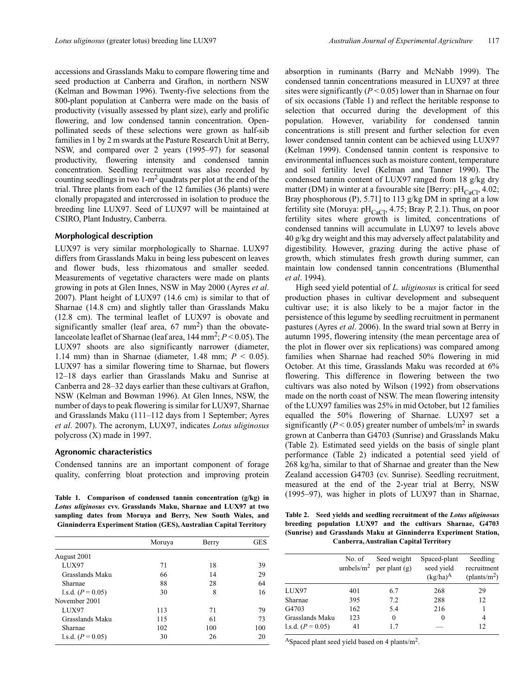accessions and Grasslands Maku to compare flowering time and seed production at Canberra and Grafton, in northern NSW (Kelman and Bowman 1996). Twenty-five selections from the 800-plant population at Canberra were made on the basis of productivity (visually assessed by plant size), early and prolific flowering, and low condensed tannin concentration. Openpollinated seeds of these selections were grown as half-sib families in 1 by 2 m swards at the Pasture Research Unit at Berry, NSW, and compared over 2 years (1995–97) for seasonal productivity, flowering intensity and condensed tannin concentration. Seedling recruitment was also recorded by counting seedlings in two 1-m2 quadrats per plot at the end of the trial. Three plants from each of the 12 families (36 plants) were clonally propagated and intercrossed in isolation to produce the breeding line LUX97. Seed of LUX97 will be maintained at CSIRO, Plant Industry, Canberra.

### **Morphological description**

LUX97 is very similar morphologically to Sharnae. LUX97 differs from Grasslands Maku in being less pubescent on leaves and flower buds, less rhizomatous and smaller seeded. Measurements of vegetative characters were made on plants growing in pots at Glen Innes, NSW in May 2000 (Ayres *et al*. 2007). Plant height of LUX97 (14.6 cm) is similar to that of Sharnae (14.8 cm) and slightly taller than Grasslands Maku (12.8 cm). The terminal leaflet of LUX97 is obovate and significantly smaller (leaf area, 67 mm<sup>2</sup>) than the obovatelanceolate leaflet of Sharnae (leaf area,  $144 \text{ mm}^2$ ;  $P < 0.05$ ). The LUX97 shoots are also significantly narrower (diameter, 1.14 mm) than in Sharnae (diameter, 1.48 mm; *P* < 0.05). LUX97 has a similar flowering time to Sharnae, but flowers 12–18 days earlier than Grasslands Maku and Sunrise at Canberra and 28–32 days earlier than these cultivars at Grafton, NSW (Kelman and Bowman 1996). At Glen Innes, NSW, the number of days to peak flowering is similar for LUX97, Sharnae and Grasslands Maku (111–112 days from 1 September; Ayres *et al*. 2007). The acronym, LUX97, indicates *Lotus uliginosus* polycross (X) made in 1997.

### **Agronomic characteristics**

Condensed tannins are an important component of forage quality, conferring bloat protection and improving protein

*Lotus uliginosus* **cvv. Grasslands Maku, Sharnae and LUX97 at two sampling dates from Moruya and Berry, New South Wales, and Ginninderra Experiment Station (GES), Australian Capital Territory**

|                     | Moruya | Berry | <b>GES</b> |
|---------------------|--------|-------|------------|
| August 2001         |        |       |            |
| LUX97               | 71     | 18    | 39         |
| Grasslands Maku     | 66     | 14    | 29         |
| Sharnae             | 88     | 28    | 64         |
| 1.s.d. $(P = 0.05)$ | 30     | 8     | 16         |
| November 2001       |        |       |            |
| LUX97               | 113    | 71    | 79         |
| Grasslands Maku     | 115    | 61    | 73         |
| Sharnae             | 102    | 100   | 100        |
| 1.s.d. $(P = 0.05)$ | 30     | 26    | 20         |

absorption in ruminants (Barry and McNabb 1999). The condensed tannin concentrations measured in LUX97 at three sites were significantly  $(P < 0.05)$  lower than in Sharnae on four of six occasions (Table 1) and reflect the heritable response to selection that occurred during the development of this population. However, variability for condensed tannin concentrations is still present and further selection for even lower condensed tannin content can be achieved using LUX97 (Kelman 1999). Condensed tannin content is responsive to environmental influences such as moisture content, temperature and soil fertility level (Kelman and Tanner 1990). The condensed tannin content of LUX97 ranged from 18 g/kg dry matter (DM) in winter at a favourable site [Berry:  $pH_{C_2}$ , 4.02; Bray phosphorous (P), 5.71] to 113 g/kg DM in spring at a low fertility site (Moruya:  $pH_{CaCl}$ , 4.75; Bray P, 2.1). Thus, on poor fertility sites where growth is limited, concentrations of condensed tannins will accumulate in LUX97 to levels above 40 g/kg dry weight and this may adversely affect palatability and digestibility. However, grazing during the active phase of growth, which stimulates fresh growth during summer, can maintain low condensed tannin concentrations (Blumenthal *et al*. 1994).

High seed yield potential of *L. uliginosus* is critical for seed production phases in cultivar development and subsequent cultivar use; it is also likely to be a major factor in the persistence of this legume by seedling recruitment in permanent pastures (Ayres *et al*. 2006). In the sward trial sown at Berry in autumn 1995, flowering intensity (the mean percentage area of the plot in flower over six replications) was compared among families when Sharnae had reached 50% flowering in mid October. At this time, Grasslands Maku was recorded at 6% flowering. This difference in flowering between the two cultivars was also noted by Wilson (1992) from observations made on the north coast of NSW. The mean flowering intensity of the LUX97 families was 25% in mid October, but 12 families equalled the 50% flowering of Sharnae. LUX97 set a significantly ( $P < 0.05$ ) greater number of umbels/ $m<sup>2</sup>$  in swards grown at Canberra than G4703 (Sunrise) and Grasslands Maku (Table 2). Estimated seed yields on the basis of single plant performance (Table 2) indicated a potential seed yield of 268 kg/ha, similar to that of Sharnae and greater than the New Zealand accession G4703 (cv. Sunrise). Seedling recruitment, measured at the end of the 2-year trial at Berry, NSW Table 1. Comparison of condensed tannin concentration (g/kg) in (1995–97), was higher in plots of LUX97 than in Sharnae,

**Table 2. Seed yields and seedling recruitment of the** *Lotus uliginosus* **breeding population LUX97 and the cultivars Sharnae, G4703 (Sunrise) and Grasslands Maku at Ginninderra Experiment Station, Canberra, Australian Capital Territory**

|                     | No. of | Seed weight<br>umbels/m <sup>2</sup> per plant (g) | Spaced-plant<br>seed yield<br>$(kg/ha)^A$ | Seedling<br>recruitment<br>$(\text{plants/m}^2)$ |
|---------------------|--------|----------------------------------------------------|-------------------------------------------|--------------------------------------------------|
| LUX97               | 401    | 6.7                                                | 268                                       | 29                                               |
| Sharnae             | 395    | 7.2                                                | 288                                       | 12                                               |
| G4703               | 162    | 5.4                                                | 216                                       |                                                  |
| Grasslands Maku     | 123    | $\theta$                                           | 0                                         | 4                                                |
| 1.s.d. $(P = 0.05)$ | 41     | 17                                                 |                                           | 12                                               |

ASpaced plant seed yield based on 4 plants/m2.